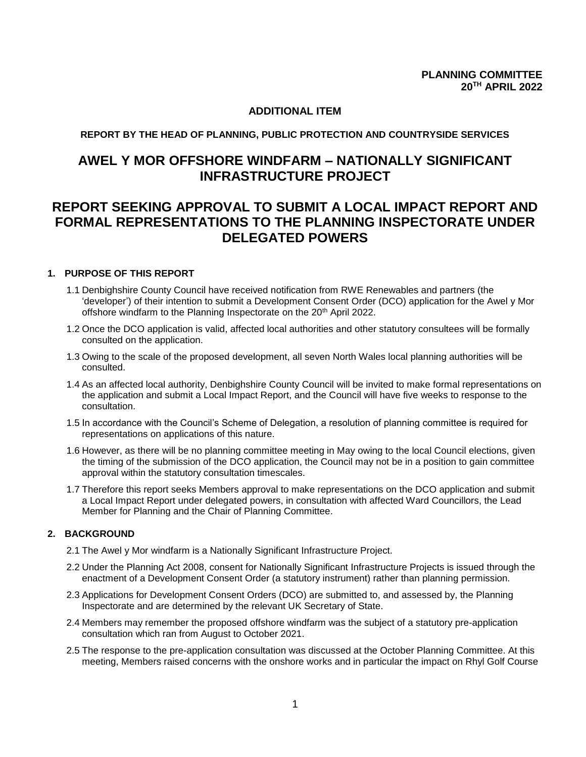## **ADDITIONAL ITEM**

### **REPORT BY THE HEAD OF PLANNING, PUBLIC PROTECTION AND COUNTRYSIDE SERVICES**

# **AWEL Y MOR OFFSHORE WINDFARM – NATIONALLY SIGNIFICANT INFRASTRUCTURE PROJECT**

# **REPORT SEEKING APPROVAL TO SUBMIT A LOCAL IMPACT REPORT AND FORMAL REPRESENTATIONS TO THE PLANNING INSPECTORATE UNDER DELEGATED POWERS**

#### **1. PURPOSE OF THIS REPORT**

- 1.1 Denbighshire County Council have received notification from RWE Renewables and partners (the 'developer') of their intention to submit a Development Consent Order (DCO) application for the Awel y Mor offshore windfarm to the Planning Inspectorate on the 20<sup>th</sup> April 2022.
- 1.2 Once the DCO application is valid, affected local authorities and other statutory consultees will be formally consulted on the application.
- 1.3 Owing to the scale of the proposed development, all seven North Wales local planning authorities will be consulted.
- 1.4 As an affected local authority, Denbighshire County Council will be invited to make formal representations on the application and submit a Local Impact Report, and the Council will have five weeks to response to the consultation.
- 1.5 In accordance with the Council's Scheme of Delegation, a resolution of planning committee is required for representations on applications of this nature.
- 1.6 However, as there will be no planning committee meeting in May owing to the local Council elections, given the timing of the submission of the DCO application, the Council may not be in a position to gain committee approval within the statutory consultation timescales.
- 1.7 Therefore this report seeks Members approval to make representations on the DCO application and submit a Local Impact Report under delegated powers, in consultation with affected Ward Councillors, the Lead Member for Planning and the Chair of Planning Committee.

#### **2. BACKGROUND**

- 2.1 The Awel y Mor windfarm is a Nationally Significant Infrastructure Project.
- 2.2 Under the Planning Act 2008, consent for Nationally Significant Infrastructure Projects is issued through the enactment of a Development Consent Order (a statutory instrument) rather than planning permission.
- 2.3 Applications for Development Consent Orders (DCO) are submitted to, and assessed by, the Planning Inspectorate and are determined by the relevant UK Secretary of State.
- 2.4 Members may remember the proposed offshore windfarm was the subject of a statutory pre-application consultation which ran from August to October 2021.
- 2.5 The response to the pre-application consultation was discussed at the October Planning Committee. At this meeting, Members raised concerns with the onshore works and in particular the impact on Rhyl Golf Course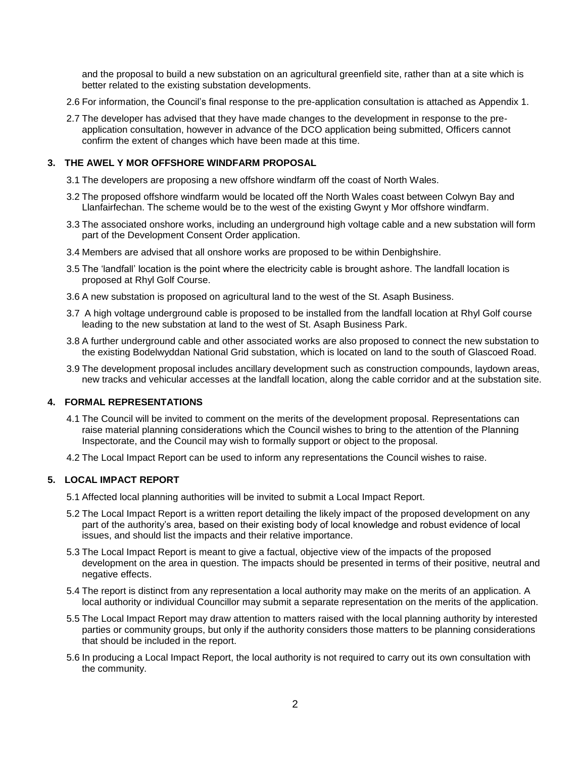and the proposal to build a new substation on an agricultural greenfield site, rather than at a site which is better related to the existing substation developments.

- 2.6 For information, the Council's final response to the pre-application consultation is attached as Appendix 1.
- 2.7 The developer has advised that they have made changes to the development in response to the preapplication consultation, however in advance of the DCO application being submitted, Officers cannot confirm the extent of changes which have been made at this time.

#### **3. THE AWEL Y MOR OFFSHORE WINDFARM PROPOSAL**

- 3.1 The developers are proposing a new offshore windfarm off the coast of North Wales.
- 3.2 The proposed offshore windfarm would be located off the North Wales coast between Colwyn Bay and Llanfairfechan. The scheme would be to the west of the existing Gwynt y Mor offshore windfarm.
- 3.3 The associated onshore works, including an underground high voltage cable and a new substation will form part of the Development Consent Order application.
- 3.4 Members are advised that all onshore works are proposed to be within Denbighshire.
- 3.5 The 'landfall' location is the point where the electricity cable is brought ashore. The landfall location is proposed at Rhyl Golf Course.
- 3.6 A new substation is proposed on agricultural land to the west of the St. Asaph Business.
- 3.7 A high voltage underground cable is proposed to be installed from the landfall location at Rhyl Golf course leading to the new substation at land to the west of St. Asaph Business Park.
- 3.8 A further underground cable and other associated works are also proposed to connect the new substation to the existing Bodelwyddan National Grid substation, which is located on land to the south of Glascoed Road.
- 3.9 The development proposal includes ancillary development such as construction compounds, laydown areas, new tracks and vehicular accesses at the landfall location, along the cable corridor and at the substation site.

#### **4. FORMAL REPRESENTATIONS**

- 4.1 The Council will be invited to comment on the merits of the development proposal. Representations can raise material planning considerations which the Council wishes to bring to the attention of the Planning Inspectorate, and the Council may wish to formally support or object to the proposal.
- 4.2 The Local Impact Report can be used to inform any representations the Council wishes to raise.

#### **5. LOCAL IMPACT REPORT**

5.1 Affected local planning authorities will be invited to submit a Local Impact Report.

- 5.2 The Local Impact Report is a written report detailing the likely impact of the proposed development on any part of the authority's area, based on their existing body of local knowledge and robust evidence of local issues, and should list the impacts and their relative importance.
- 5.3 The Local Impact Report is meant to give a factual, objective view of the impacts of the proposed development on the area in question. The impacts should be presented in terms of their positive, neutral and negative effects.
- 5.4 The report is distinct from any representation a local authority may make on the merits of an application. A local authority or individual Councillor may submit a separate representation on the merits of the application.
- 5.5 The Local Impact Report may draw attention to matters raised with the local planning authority by interested parties or community groups, but only if the authority considers those matters to be planning considerations that should be included in the report.
- 5.6 In producing a Local Impact Report, the local authority is not required to carry out its own consultation with the community.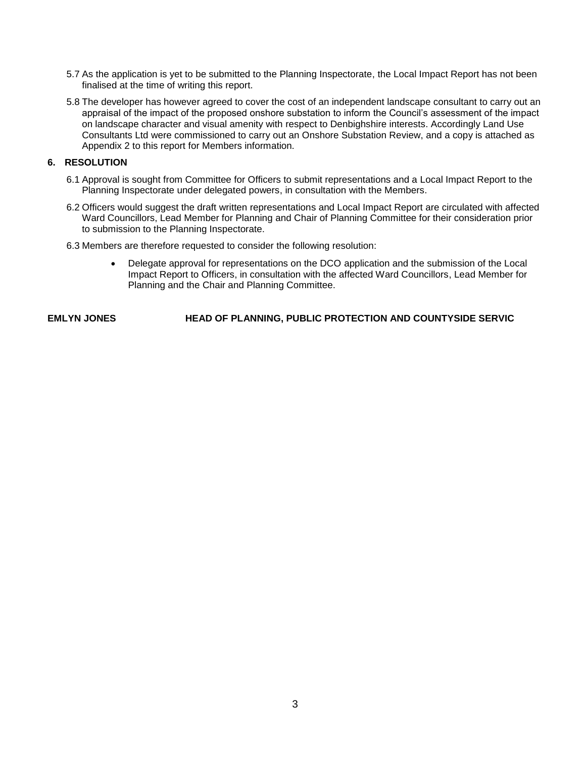- 5.7 As the application is yet to be submitted to the Planning Inspectorate, the Local Impact Report has not been finalised at the time of writing this report.
- 5.8 The developer has however agreed to cover the cost of an independent landscape consultant to carry out an appraisal of the impact of the proposed onshore substation to inform the Council's assessment of the impact on landscape character and visual amenity with respect to Denbighshire interests. Accordingly Land Use Consultants Ltd were commissioned to carry out an Onshore Substation Review, and a copy is attached as Appendix 2 to this report for Members information.

#### **6. RESOLUTION**

- 6.1 Approval is sought from Committee for Officers to submit representations and a Local Impact Report to the Planning Inspectorate under delegated powers, in consultation with the Members.
- 6.2 Officers would suggest the draft written representations and Local Impact Report are circulated with affected Ward Councillors, Lead Member for Planning and Chair of Planning Committee for their consideration prior to submission to the Planning Inspectorate.
- 6.3 Members are therefore requested to consider the following resolution:
	- Delegate approval for representations on the DCO application and the submission of the Local Impact Report to Officers, in consultation with the affected Ward Councillors, Lead Member for Planning and the Chair and Planning Committee.

**EMLYN JONES HEAD OF PLANNING, PUBLIC PROTECTION AND COUNTYSIDE SERVIC**